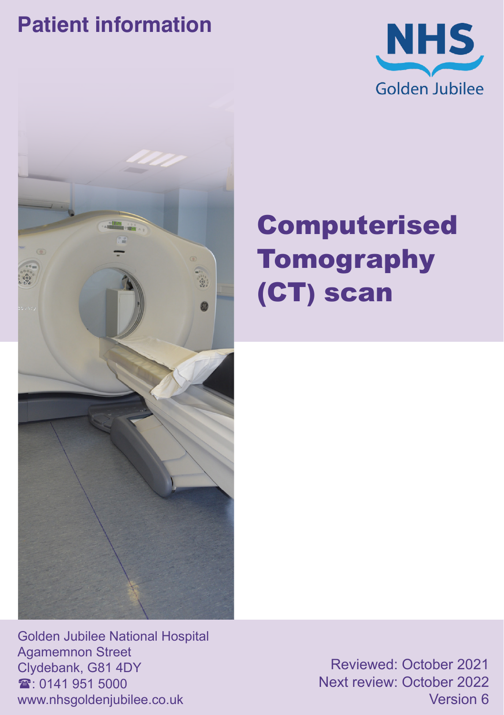### **Patient information**





# Computerised Tomography (CT) scan

Golden Jubilee National Hospital Agamemnon Street Clydebank, G81 4DY  $\textcircled{3}$ : 0141 951 5000 www.nhsgoldenjubilee.co.uk

Reviewed: October 2021 Next review: October 2022 Version 6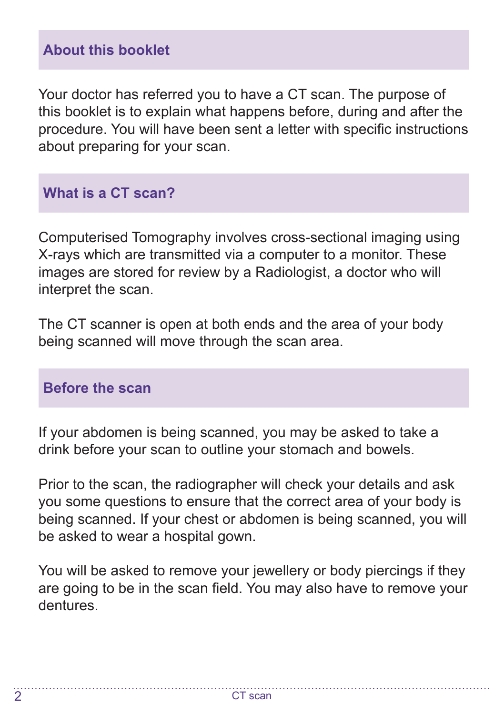#### **About this booklet**

Your doctor has referred you to have a CT scan. The purpose of this booklet is to explain what happens before, during and after the procedure. You will have been sent a letter with specific instructions about preparing for your scan.

#### **What is a CT scan?**

Computerised Tomography involves cross-sectional imaging using X-rays which are transmitted via a computer to a monitor. These images are stored for review by a Radiologist, a doctor who will interpret the scan.

The CT scanner is open at both ends and the area of your body being scanned will move through the scan area.

#### **Before the scan**

If your abdomen is being scanned, you may be asked to take a drink before your scan to outline your stomach and bowels.

Prior to the scan, the radiographer will check your details and ask you some questions to ensure that the correct area of your body is being scanned. If your chest or abdomen is being scanned, you will be asked to wear a hospital gown.

You will be asked to remove your jewellery or body piercings if they are going to be in the scan field. You may also have to remove your dentures.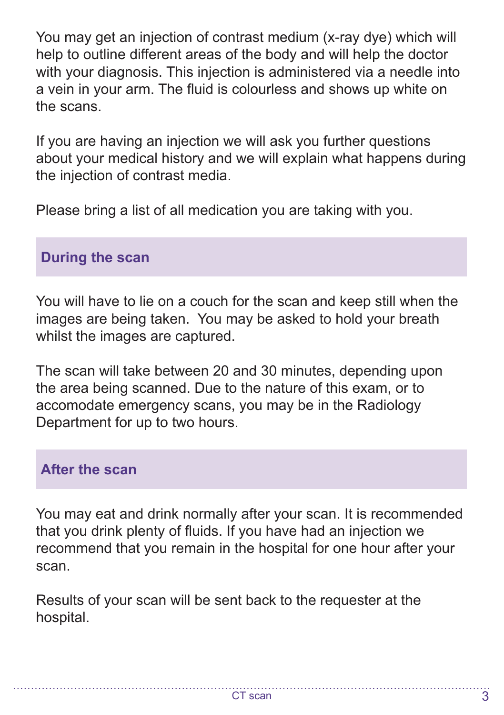You may get an injection of contrast medium (x-ray dye) which will help to outline different areas of the body and will help the doctor with your diagnosis. This injection is administered via a needle into a vein in your arm. The fluid is colourless and shows up white on the scans.

If you are having an injection we will ask you further questions about your medical history and we will explain what happens during the injection of contrast media.

Please bring a list of all medication you are taking with you.

#### **During the scan**

You will have to lie on a couch for the scan and keep still when the images are being taken. You may be asked to hold your breath whilst the images are captured.

The scan will take between 20 and 30 minutes, depending upon the area being scanned. Due to the nature of this exam, or to accomodate emergency scans, you may be in the Radiology Department for up to two hours.

#### **After the scan**

You may eat and drink normally after your scan. It is recommended that you drink plenty of fluids. If you have had an injection we recommend that you remain in the hospital for one hour after your scan.

Results of your scan will be sent back to the requester at the hospital.